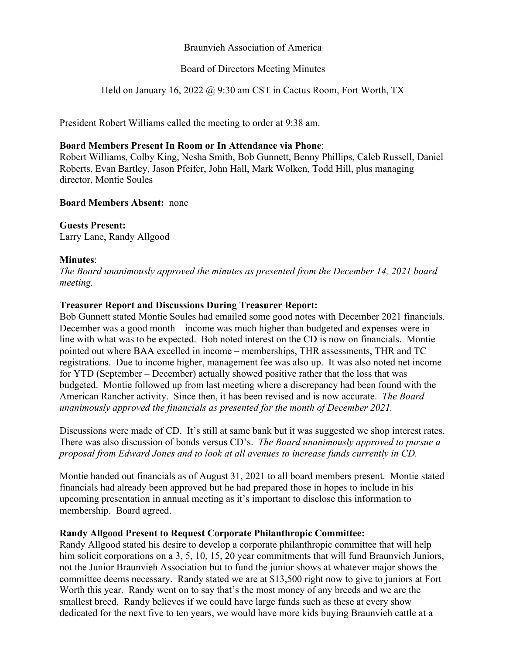### Braunvieh Association of America

## Board of Directors Meeting Minutes

Held on January 16, 2022 @ 9:30 am CST in Cactus Room, Fort Worth, TX

President Robert Williams called the meeting to order at 9:38 am.

### **Board Members Present In Room or In Attendance via Phone**:

Robert Williams, Colby King, Nesha Smith, Bob Gunnett, Benny Phillips, Caleb Russell, Daniel Roberts, Evan Bartley, Jason Pfeifer, John Hall, Mark Wolken, Todd Hill, plus managing director, Montie Soules

## **Board Members Absent:** none

**Guests Present:** Larry Lane, Randy Allgood

## **Minutes**:

*The Board unanimously approved the minutes as presented from the December 14, 2021 board meeting.*

# **Treasurer Report and Discussions During Treasurer Report:**

Bob Gunnett stated Montie Soules had emailed some good notes with December 2021 financials. December was a good month – income was much higher than budgeted and expenses were in line with what was to be expected. Bob noted interest on the CD is now on financials. Montie pointed out where BAA excelled in income – memberships, THR assessments, THR and TC registrations. Due to income higher, management fee was also up. It was also noted net income for YTD (September – December) actually showed positive rather that the loss that was budgeted. Montie followed up from last meeting where a discrepancy had been found with the American Rancher activity. Since then, it has been revised and is now accurate. *The Board unanimously approved the financials as presented for the month of December 2021.* 

Discussions were made of CD. It's still at same bank but it was suggested we shop interest rates. There was also discussion of bonds versus CD's. *The Board unanimously approved to pursue a proposal from Edward Jones and to look at all avenues to increase funds currently in CD.*

Montie handed out financials as of August 31, 2021 to all board members present. Montie stated financials had already been approved but he had prepared those in hopes to include in his upcoming presentation in annual meeting as it's important to disclose this information to membership. Board agreed.

# **Randy Allgood Present to Request Corporate Philanthropic Committee:**

Randy Allgood stated his desire to develop a corporate philanthropic committee that will help him solicit corporations on a 3, 5, 10, 15, 20 year commitments that will fund Braunvieh Juniors, not the Junior Braunvieh Association but to fund the junior shows at whatever major shows the committee deems necessary. Randy stated we are at \$13,500 right now to give to juniors at Fort Worth this year. Randy went on to say that's the most money of any breeds and we are the smallest breed. Randy believes if we could have large funds such as these at every show dedicated for the next five to ten years, we would have more kids buying Braunvieh cattle at a